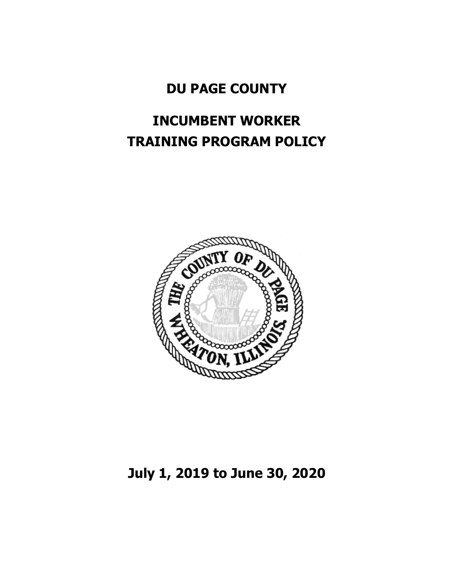## **DU PAGE COUNTY**

## **INCUMBENT WORKER TRAINING PROGRAM POLICY**



## **July 1, 2019 to June 30, 2020**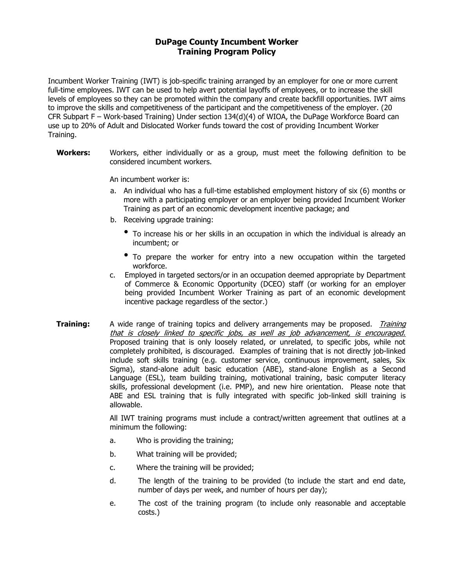## **DuPage County Incumbent Worker Training Program Policy**

Incumbent Worker Training (IWT) is job-specific training arranged by an employer for one or more current full-time employees. IWT can be used to help avert potential layoffs of employees, or to increase the skill levels of employees so they can be promoted within the company and create backfill opportunities. IWT aims to improve the skills and competitiveness of the participant and the competitiveness of the employer. (20 CFR Subpart F – Work-based Training) Under section 134(d)(4) of WIOA, the DuPage Workforce Board can use up to 20% of Adult and Dislocated Worker funds toward the cost of providing Incumbent Worker Training.

**Workers:** Workers, either individually or as a group, must meet the following definition to be considered incumbent workers.

An incumbent worker is:

- a. An individual who has a full-time established employment history of six (6) months or more with a participating employer or an employer being provided Incumbent Worker Training as part of an economic development incentive package; and
- b. Receiving upgrade training:
	- To increase his or her skills in an occupation in which the individual is already an incumbent; or
	- To prepare the worker for entry into a new occupation within the targeted workforce.
- c. Employed in targeted sectors/or in an occupation deemed appropriate by Department of Commerce & Economic Opportunity (DCEO) staff (or working for an employer being provided Incumbent Worker Training as part of an economic development incentive package regardless of the sector.)
- **Training:** A wide range of training topics and delivery arrangements may be proposed. Training that is closely linked to specific jobs, as well as job advancement, is encouraged. Proposed training that is only loosely related, or unrelated, to specific jobs, while not completely prohibited, is discouraged. Examples of training that is not directly job-linked include soft skills training (e.g. customer service, continuous improvement, sales, Six Sigma), stand-alone adult basic education (ABE), stand-alone English as a Second Language (ESL), team building training, motivational training, basic computer literacy skills, professional development (i.e. PMP), and new hire orientation. Please note that ABE and ESL training that is fully integrated with specific job-linked skill training is allowable.

All IWT training programs must include a contract/written agreement that outlines at a minimum the following:

- a. Who is providing the training;
- b. What training will be provided;
- c. Where the training will be provided;
- d. The length of the training to be provided (to include the start and end date, number of days per week, and number of hours per day);
- e. The cost of the training program (to include only reasonable and acceptable costs.)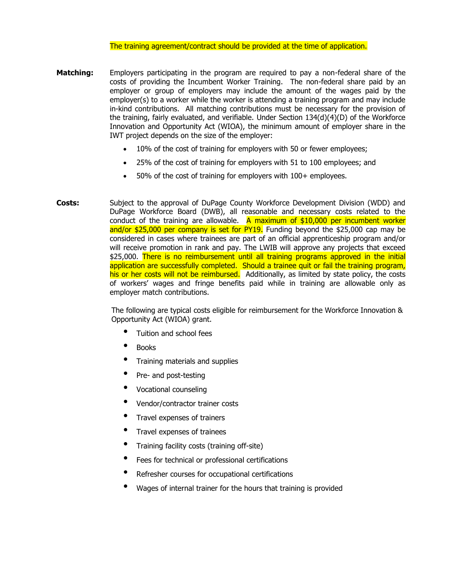The training agreement/contract should be provided at the time of application.

- **Matching:** Employers participating in the program are required to pay a non-federal share of the costs of providing the Incumbent Worker Training. The non-federal share paid by an employer or group of employers may include the amount of the wages paid by the employer(s) to a worker while the worker is attending a training program and may include in-kind contributions. All matching contributions must be necessary for the provision of the training, fairly evaluated, and verifiable. Under Section 134(d)(4)(D) of the Workforce Innovation and Opportunity Act (WIOA), the minimum amount of employer share in the IWT project depends on the size of the employer:
	- 10% of the cost of training for employers with 50 or fewer employees;
	- 25% of the cost of training for employers with 51 to 100 employees; and
	- 50% of the cost of training for employers with 100+ employees.
- **Costs:** Subject to the approval of DuPage County Workforce Development Division (WDD) and DuPage Workforce Board (DWB), all reasonable and necessary costs related to the conduct of the training are allowable. A maximum of  $$10,000$  per incumbent worker and/or \$25,000 per company is set for PY19. Funding beyond the \$25,000 cap may be considered in cases where trainees are part of an official apprenticeship program and/or will receive promotion in rank and pay. The LWIB will approve any projects that exceed \$25,000. There is no reimbursement until all training programs approved in the initial application are successfully completed. Should a trainee quit or fail the training program, his or her costs will not be reimbursed. Additionally, as limited by state policy, the costs of workers' wages and fringe benefits paid while in training are allowable only as employer match contributions.

The following are typical costs eligible for reimbursement for the Workforce Innovation & Opportunity Act (WIOA) grant.

- Tuition and school fees
- Books
- Training materials and supplies
- Pre- and post-testing
- Vocational counseling
- Vendor/contractor trainer costs
- Travel expenses of trainers
- Travel expenses of trainees
- Training facility costs (training off-site)
- Fees for technical or professional certifications
- Refresher courses for occupational certifications
- Wages of internal trainer for the hours that training is provided